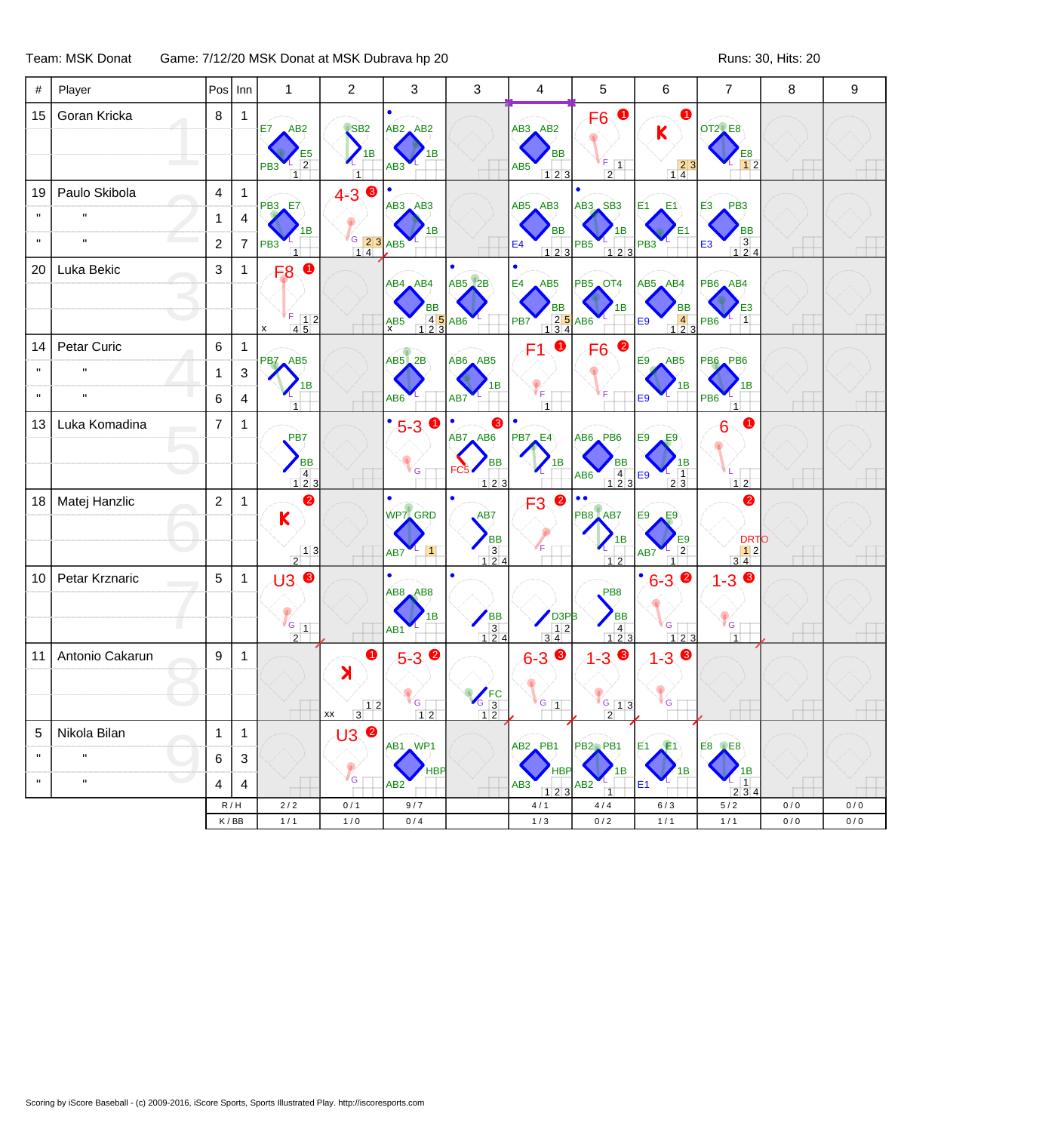Team: MSK Donat Game: 7/12/20 MSK Donat at MSK Dubrava hp 20 Runs: 30, Hits: 20 Runs: 30, Hits: 20

| #            | Player          | Pos Inn        |                           | $\mathbf{1}$                                                            | $\overline{c}$             | 3                    | 3                                                      | 4                                                                     | 5                                                               | $\,6$                                   | $\overline{7}$                                                  | 8          | 9          |
|--------------|-----------------|----------------|---------------------------|-------------------------------------------------------------------------|----------------------------|----------------------|--------------------------------------------------------|-----------------------------------------------------------------------|-----------------------------------------------------------------|-----------------------------------------|-----------------------------------------------------------------|------------|------------|
| 15           | Goran Kricka    | 8              | $\mathbf{1}$              | AB2<br>E7                                                               | $\sqrt{\text{SB2}}$        | $AB2$ $AB2$          |                                                        |                                                                       | $\bullet$<br>F <sub>6</sub><br>$AB3$ $AB2$                      |                                         | <b>OT2</b> E8                                                   |            |            |
|              |                 |                |                           |                                                                         | 1В                         | 1Β                   |                                                        | <b>BB</b>                                                             |                                                                 | K                                       | E8                                                              |            |            |
|              |                 |                |                           | $rac{E5}{2}$<br>PB <sub>3</sub><br>$\overline{1}$                       |                            | AB3                  |                                                        | AB5<br>123                                                            | $F$ $\boxed{1}$<br>$\overline{2}$                               | $\begin{array}{c} 23 \\ 14 \end{array}$ | 12                                                              |            |            |
| 19           | Paulo Skibola   | $\overline{4}$ | $\mathbf{1}$              | <b>PB3 E7</b>                                                           | $4-3$ $\bullet$            | $AB3$ $AB3$          |                                                        | $AB5$ $AB3$                                                           | AB3 SB3                                                         | E1<br>E1                                | PB <sub>3</sub><br>E <sub>3</sub>                               |            |            |
|              |                 | 1              | $\overline{4}$            | 1Β                                                                      |                            | 1В                   |                                                        | <b>BB</b>                                                             | 1B                                                              |                                         | <b>BB</b>                                                       |            |            |
| $\mathbf{u}$ | $\mathbf{u}$    | $\sqrt{2}$     | $\overline{7}$            | PB <sub>3</sub><br>$\overline{1}$                                       | G 2 3                      | AB <sub>5</sub>      |                                                        | E4<br>$123$                                                           | PB <sub>5</sub><br>123                                          | PB <sub>3</sub>                         | $\begin{array}{c} 3 \\ 1 \ 2 \ 4 \end{array}$<br>E <sub>3</sub> |            |            |
| 20           | Luka Bekic      | 3              | $\mathbf{1}$              | $\bullet$<br>F <sub>8</sub>                                             |                            | $AB4$ $AB4$          | <b>AB5</b> 2B                                          | ٠<br>E4<br>AB5                                                        | PB5 OT4                                                         | AB5 AB4                                 | PB6 AB4                                                         |            |            |
|              |                 |                |                           |                                                                         |                            | BB                   |                                                        |                                                                       | 1B                                                              | <b>BB</b>                               | E <sub>3</sub>                                                  |            |            |
|              |                 |                |                           | $\begin{array}{ c c }\nF & 1 & 2 \\ \hline\n4 & 5 & \n\end{array}$<br>X |                            | 4 5 AB6<br>$AX$ $B5$ |                                                        | BB<br>25<br>134<br>25<br>PB7                                          |                                                                 | $\overline{4}$<br>E9<br>$123$           | $\mathbf{1}$<br>PB <sub>6</sub>                                 |            |            |
| 14           | Petar Curic     | 6              | $\mathbf{1}$              | PB7 AB5                                                                 |                            | $AB5$ <sub>2</sub> B | $AB6$ $AB5$                                            | 0<br>F1                                                               | 2<br>F <sub>6</sub>                                             | AB5<br>E9                               | <b>PB6 PB6</b>                                                  |            |            |
|              | $\mathbf{u}$    | 1              | $\ensuremath{\mathsf{3}}$ | 1В                                                                      |                            |                      |                                                        |                                                                       |                                                                 | 1B                                      | 1В                                                              |            |            |
| $\mathbf{u}$ | $\mathbf{u}$    | 6              | $\overline{4}$            | 1                                                                       |                            | AB <sub>6</sub>      | AB7                                                    | ₹F<br>$\overline{1}$                                                  |                                                                 | E9                                      | PB <sub>6</sub><br>1                                            |            |            |
| 13           | Luka Komadina   | $\overline{7}$ | $\mathbf{1}$              | PB7                                                                     |                            | $\bullet$<br>$5 - 3$ | (3<br>AB7, AB6                                         | <b>PB7</b> E4                                                         | AB6 PB6                                                         | E9<br>E9                                |                                                                 |            |            |
|              |                 |                |                           | <b>BB</b>                                                               |                            |                      | <b>BB</b>                                              | 1B                                                                    | ВB                                                              | 1В                                      |                                                                 |            |            |
|              |                 |                |                           | $\overline{4}$<br>123                                                   |                            | <b>S</b>             | 123                                                    |                                                                       | $\begin{array}{ c c c }\n\hline\n4 & 2 & 3\n\end{array}$<br>AB6 | $\overline{1}$<br>E9<br>2 3             | 12                                                              |            |            |
| 18           | Matej Hanzlic   | $\sqrt{2}$     | $\mathbf{1}$              | ❷<br>$\mathsf K$                                                        |                            | WP7 GRD              | AB7                                                    | $\bullet$<br>F <sub>3</sub>                                           | $\bullet$<br>$\bullet$<br>PB8 AB7                               | E9<br>E9                                | 2                                                               |            |            |
|              |                 |                |                           |                                                                         |                            |                      | <b>BB</b>                                              |                                                                       |                                                                 | E9                                      | <b>DRTO</b>                                                     |            |            |
|              |                 |                |                           | $\frac{13}{2}$                                                          |                            | $\vert$ 1<br>AB7     | $\begin{array}{c} 3 \\ 1 \ 2 \ 4 \end{array}$          |                                                                       | 12                                                              | $\overline{2}$<br>AB7<br>$\overline{1}$ | $\begin{array}{c c} & 1 & 2 \\ 3 & 4 & \end{array}$             |            |            |
| 10           | Petar Krznaric  | $\overline{5}$ | $\mathbf{1}$              | ⊎ვ∖®                                                                    |                            | AB8 AB8              |                                                        |                                                                       | PB <sub>8</sub>                                                 | $\bullet$<br>$6 - 3$                    | ❸<br>$1 - 3$                                                    |            |            |
|              |                 |                |                           |                                                                         |                            | 1B                   |                                                        | D <sub>3P</sub>                                                       | <b>BB</b>                                                       |                                         |                                                                 |            |            |
|              |                 |                |                           | $\sqrt{G}$ 1<br>$\overline{2}$                                          |                            | AB <sub>1</sub>      | $\begin{array}{c}\n\text{BB} \\ 3 \\ 124\n\end{array}$ | $\begin{array}{ c c c }\n\hline\n3 & 4 \\ \hline\n3 & 4\n\end{array}$ | $\begin{array}{ c c c }\n\hline\n4 & 2 & 3\n\end{array}$        | G<br>123                                | G<br>$\overline{1}$                                             |            |            |
| 11           | Antonio Cakarun | 9              | $\mathbf{1}$              |                                                                         | $\bullet$<br><b>X</b>      | $5 - 3$ $\bullet$    |                                                        | $6 - 3$ 8                                                             | $\bullet$<br>$1 - 3$                                            | $\bullet$<br>$1 - 3$                    |                                                                 |            |            |
|              |                 |                |                           |                                                                         |                            |                      | $\frac{1}{6}$ FC                                       |                                                                       |                                                                 |                                         |                                                                 |            |            |
|              |                 |                |                           |                                                                         | 12<br><b>XX</b><br>3       | V <sub>G</sub><br>12 | 12                                                     | $G_{1}$                                                               | $G$ 13                                                          | G                                       |                                                                 |            |            |
| 5            | Nikola Bilan    | $\mathbf{1}$   | $\mathbf{1}$              |                                                                         | <b>U3</b>                  | AB1 WP1              |                                                        | AB <sub>2</sub> PB1                                                   | PB <sub>2</sub> PB <sub>1</sub>                                 | E1<br>E <sub>1</sub>                    | <b>E8 2E8</b>                                                   |            |            |
| $\mathbf H$  | $\mathbf{u}$    | 6              | 3                         |                                                                         |                            | <b>HBP</b>           |                                                        | <b>HBI</b>                                                            | 1B                                                              | 1B                                      | 1В                                                              |            |            |
| $\mathbf{H}$ | $\mathbf{u}$    | 4              | $\overline{4}$            |                                                                         | $\mathcal{C}_{\mathbf{G}}$ | AB2                  |                                                        | AB3<br>123                                                            | AB2<br>$\overline{1}$                                           | Ε1                                      | $\overline{1}$<br>2 3 4                                         |            |            |
|              |                 |                | R/H<br>K/BB               | 2/2<br>1/1                                                              | 0/1<br>1/0                 | 9/7<br>0/4           |                                                        | 4/1<br>1/3                                                            | 4/4<br>0/2                                                      | 6/3<br>1/1                              | 5/2<br>1/1                                                      | 0/0<br>0/0 | 0/0<br>0/0 |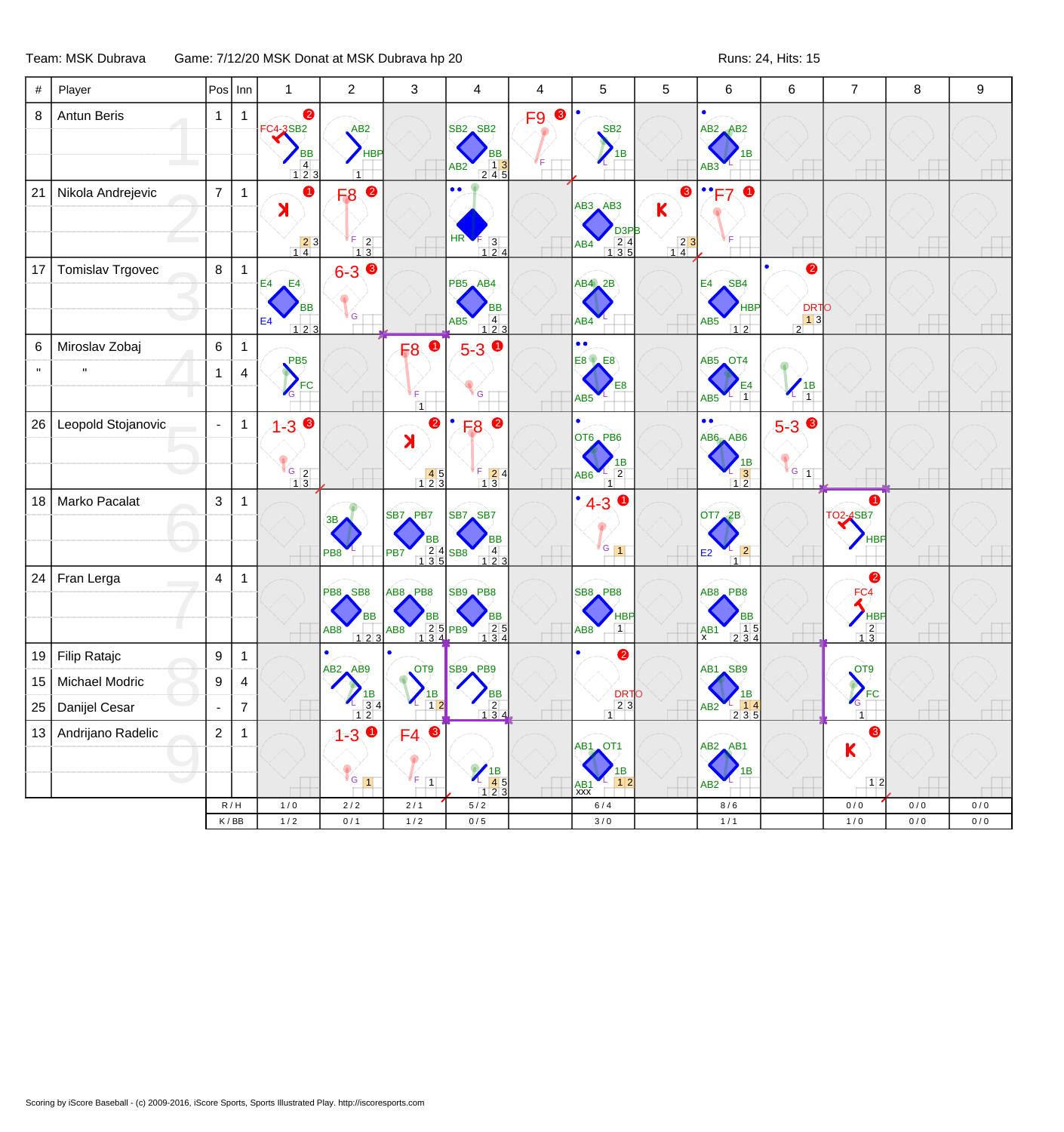## Team: MSK Dubrava Game: 7/12/20 MSK Donat at MSK Dubrava hp 20 Runs: 24, Hits: 15

| #  | Player             |                  | $ Pos $ Inn    | $\mathbf{1}$                                                                                    | $\overline{2}$                                                                                        | 3                                                                                                              | 4                                                                                                      | 4    | 5                                                                                   | 5                                                                     | 6                                                                                   | 6                                    | $\overline{7}$                                           | 8     | $\boldsymbol{9}$ |
|----|--------------------|------------------|----------------|-------------------------------------------------------------------------------------------------|-------------------------------------------------------------------------------------------------------|----------------------------------------------------------------------------------------------------------------|--------------------------------------------------------------------------------------------------------|------|-------------------------------------------------------------------------------------|-----------------------------------------------------------------------|-------------------------------------------------------------------------------------|--------------------------------------|----------------------------------------------------------|-------|------------------|
| 8  | Antun Beris        | $\mathbf{1}$     | $\mathbf{1}$   | $\bullet$<br>$-3$ SB <sub>2</sub><br><b>BB</b><br>$\begin{array}{c} 4 \\ 1 \ 2 \ 3 \end{array}$ | AB2<br><b>HBP</b><br>$\overline{1}$                                                                   |                                                                                                                | SB2 SB2<br><b>BB</b><br>$\begin{array}{ c c c }\n\hline\n& 13 \\ 245\n\end{array}$<br>AB2              | F9 8 | $\bullet$<br>SB <sub>2</sub><br>1B                                                  |                                                                       | $\bullet$<br>$AB2$ $AB2$<br>1В<br>AB3                                               |                                      |                                                          |       |                  |
| 21 | Nikola Andrejevic  | $\overline{7}$   | $\mathbf{1}$   | $\bullet$<br>$\blacktriangleright$<br>$\begin{array}{c} \n \boxed{2} \\ \n 1 \end{array}$       | $\bullet$<br>F <sub>8</sub><br>F<br>$\begin{array}{ c c }\n\hline\n1 & 3\n\end{array}$                |                                                                                                                | $\bullet$<br>HR<br>$\begin{array}{ccc} 5 & 3 \\ 1 & 2 & 4 \end{array}$                                 |      | $AB3$ $AB3$<br>D <sub>3</sub> PB<br>$\begin{array}{c} 24 \\ 135 \end{array}$<br>AB4 | ❸<br>K<br>$\begin{array}{ c c }\n\hline\n2 & 3 \\ 1 & 4\n\end{array}$ | $\cdot$ . F7                                                                        |                                      |                                                          |       |                  |
| 17 | Tomislav Trgovec   | 8                | $\overline{1}$ | $E4$ $E4$<br>ВB<br>E <sub>4</sub><br>123                                                        | $6 - 3$<br>G                                                                                          |                                                                                                                | PB5 AB4<br><b>BB</b><br>$\begin{array}{c} 4 \\ 1 \ 2 \ 3 \end{array}$<br>AB5                           |      | AB4, 2B<br>AB4                                                                      |                                                                       | SB <sub>4</sub><br>E4<br><b>HBP</b><br>AB5<br>12                                    | $\bullet$<br>$\frac{\text{DRTO}}{2}$ |                                                          |       |                  |
| 6  | Miroslav Zobaj     | $6\phantom{.0}$  | $\mathbf{1}$   | PB <sub>5</sub>                                                                                 |                                                                                                       | $\bullet$<br><b>F8</b>                                                                                         | $5-3$ $\bullet$                                                                                        |      | $\bullet$<br><b>E8 E8</b>                                                           |                                                                       | AB5 OT4                                                                             |                                      |                                                          |       |                  |
|    |                    | 1                | $\overline{4}$ | FC                                                                                              |                                                                                                       | F.<br>$\overline{1}$                                                                                           | G                                                                                                      |      | E8<br>AB <sub>5</sub>                                                               |                                                                       | $\frac{1}{1}$<br>AB5                                                                | $\frac{1B}{1}$                       |                                                          |       |                  |
| 26 | Leopold Stojanovic | $\blacksquare$   | $\mathbf{1}$   | $1 - 3$<br>$\frac{G}{1}$ $\frac{2}{3}$                                                          |                                                                                                       | 2<br>X<br>$\begin{array}{c c} & 45 \\ 123 \end{array}$                                                         | F8 <sup>0</sup><br>$\begin{array}{ c c }\n\hline\nF & 2 & 4 \\ \hline\n1 & 3 & \\ \hline\n\end{array}$ |      | OT6 PB6<br>1Β<br>$\overline{2}$<br>AB6<br>1                                         |                                                                       | $\bullet$<br>AB6 AB6<br>$\begin{array}{r} \n1B \\ \hline\n3 \\ 12\n\end{array}$     | $5-3$<br>$G_{1}$                     |                                                          |       |                  |
| 18 | Marko Pacalat      | 3                | $\mathbf{1}$   |                                                                                                 | 3B<br>PB <sub>8</sub>                                                                                 | SB7 PB7<br><b>BB</b><br>$\begin{array}{ c c c }\n\hline\n2 & 4 & \text{SBB} \\ 1 & 3 & 5 & \end{array}$<br>PB7 | SB7 SB7<br><b>BB</b><br>$\begin{array}{c} 4 \\ 1 \ 2 \ 3 \end{array}$                                  |      | $4-3$ 0<br>$\sqrt{G}$ 1                                                             |                                                                       | OT7, 2B<br>$\vert$ 2<br>E2<br>$\overline{1}$                                        |                                      | $\bullet$<br>TO2-4SB7<br><b>HBP</b>                      |       |                  |
| 24 | Fran Lerga         | 4                | $\mathbf{1}$   |                                                                                                 | PB8 SB8<br><b>BB</b><br>AB8<br>$123$                                                                  | AB8 PB8<br>ВB<br>2 5 PB9<br>AB8                                                                                | SB9 PB8<br>ВB<br>$\begin{array}{r} 25 \\ 134 \end{array}$                                              |      | SB8 PB8<br><b>HBP</b><br>$\overline{1}$<br>AB8                                      |                                                                       | $AB8$ $PB8$<br>BB<br>$\begin{array}{c} 15 \\ 234 \end{array}$<br>$A$ B <sub>1</sub> |                                      | $\bullet$<br>FC <sub>4</sub><br>$\frac{1}{\frac{2}{13}}$ |       |                  |
| 19 | Filip Ratajc       | $\boldsymbol{9}$ | $\mathbf{1}$   |                                                                                                 |                                                                                                       |                                                                                                                |                                                                                                        |      | ❷                                                                                   |                                                                       |                                                                                     |                                      |                                                          |       |                  |
| 15 | Michael Modric     | 9                | 4              |                                                                                                 | $AB2$ $AB9$                                                                                           | OT9<br>1B                                                                                                      | SB9 PB9                                                                                                |      | <b>DRTO</b>                                                                         |                                                                       | AB1 SB9                                                                             |                                      | OT <sub>9</sub><br>$\sum_{FC}$                           |       |                  |
| 25 | Danijel Cesar      |                  | $\overline{7}$ |                                                                                                 | $\begin{array}{c} \n \begin{array}{c} \n 1B \\ \n 3 & 4 \n \end{array} \\  \boxed{12} \n \end{array}$ | $12$                                                                                                           | ВB<br>$\begin{array}{ c c c }\n\hline\n& 2 & 4 \\ \hline\n1 & 3 & 4\n\end{array}$                      |      | 23<br>1                                                                             |                                                                       | AB2<br>2 3 5                                                                        |                                      | G<br>$\overline{1}$                                      |       |                  |
| 13 | Andrijano Radelic  | $\overline{a}$   | $\overline{1}$ |                                                                                                 | $1 - 3$<br>$\blacksquare$<br>۰<br>$V$ G 1                                                             | ❸<br>F4<br>$\mathscr{C}_{F}$ $\boxed{1}$                                                                       | $\begin{array}{r}\n 1B \\  45 \\  123\n\end{array}$                                                    |      | AB1 OT1<br>1В<br>1 2<br>AB1<br>XXX                                                  |                                                                       | $AB2$ $AB1$<br>AB2                                                                  |                                      | ❸<br>$\mathsf K$<br>12                                   |       |                  |
|    |                    |                  | R/H            | 1/0                                                                                             | $2/2$                                                                                                 | $2/1$                                                                                                          | $5/2$                                                                                                  |      | $6/4$                                                                               |                                                                       | 8/6                                                                                 |                                      | 0/0                                                      | $0/0$ | 0/0              |
|    |                    |                  | K/BB           | $1/2$                                                                                           | 0/1                                                                                                   | $1/2$                                                                                                          | $0/5$                                                                                                  |      | 3/0                                                                                 |                                                                       | $1/1$                                                                               |                                      | $1/0$                                                    | $0/0$ | $0/0$            |